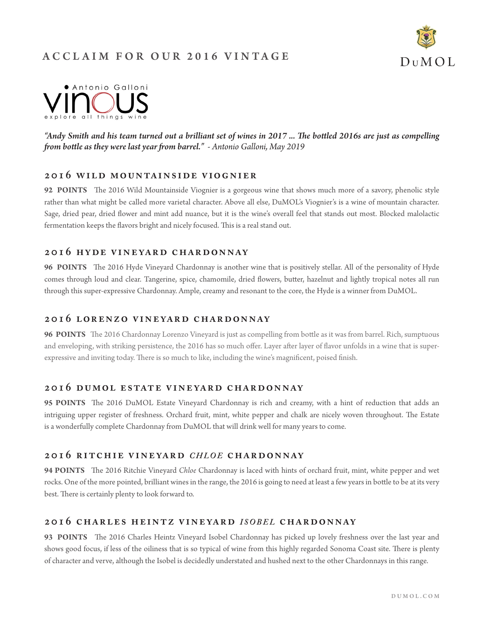# ACCL AIM FOR OUR 2016 VINTAGE





*"Andy Smith and his team turned out a brilliant set of wines in 2017 ... The bottled 2016s are just as compelling from bottle as they were last year from barrel." - Antonio Galloni, May 2019*

## **2016 wild mountainside viognier**

**92 POINTS** The 2016 Wild Mountainside Viognier is a gorgeous wine that shows much more of a savory, phenolic style rather than what might be called more varietal character. Above all else, DuMOL's Viognier's is a wine of mountain character. Sage, dried pear, dried flower and mint add nuance, but it is the wine's overall feel that stands out most. Blocked malolactic fermentation keeps the flavors bright and nicely focused. This is a real stand out.

## **2016 hy de v ine yar d char d onnay**

**96 POINTS** The 2016 Hyde Vineyard Chardonnay is another wine that is positively stellar. All of the personality of Hyde comes through loud and clear. Tangerine, spice, chamomile, dried flowers, butter, hazelnut and lightly tropical notes all run through this super-expressive Chardonnay. Ample, creamy and resonant to the core, the Hyde is a winner from DuMOL.

### **2016 lorenzo vineyard chardonnay**

**96 POINTS** The 2016 Chardonnay Lorenzo Vineyard is just as compelling from bottle as it was from barrel. Rich, sumptuous and enveloping, with striking persistence, the 2016 has so much offer. Layer after layer of flavor unfolds in a wine that is superexpressive and inviting today. There is so much to like, including the wine's magnificent, poised finish.

## 2016 DUMOL ESTATE VINEYARD CHARDONNAY

**95 POINTS** The 2016 DuMOL Estate Vineyard Chardonnay is rich and creamy, with a hint of reduction that adds an intriguing upper register of freshness. Orchard fruit, mint, white pepper and chalk are nicely woven throughout. The Estate is a wonderfully complete Chardonnay from DuMOL that will drink well for many years to come.

# 2016 RITCHIE VINEYARD *CHLOE* CHARDONNAY

**94 POINTS** The 2016 Ritchie Vineyard *Chloe* Chardonnay is laced with hints of orchard fruit, mint, white pepper and wet rocks. One of the more pointed, brilliant wines in the range, the 2016 is going to need at least a few years in bottle to be at its very best. There is certainly plenty to look forward to.

### 2016 CHARLES HEINTZ VINEYARD *ISOBEL* CHARDONNAY

**93 POINTS** The 2016 Charles Heintz Vineyard Isobel Chardonnay has picked up lovely freshness over the last year and shows good focus, if less of the oiliness that is so typical of wine from this highly regarded Sonoma Coast site. There is plenty of character and verve, although the Isobel is decidedly understated and hushed next to the other Chardonnays in this range.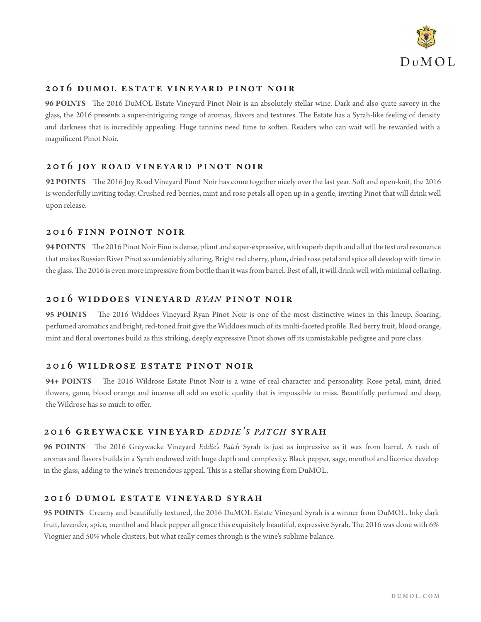

## **2016 dumol estate vineyard pinot noir**

**96 POINTS** The 2016 DuMOL Estate Vineyard Pinot Noir is an absolutely stellar wine. Dark and also quite savory in the glass, the 2016 presents a super-intriguing range of aromas, flavors and textures. The Estate has a Syrah-like feeling of density and darkness that is incredibly appealing. Huge tannins need time to soften. Readers who can wait will be rewarded with a magnificent Pinot Noir.

#### **2016 joy road vineyard pinot noir**

**92 POINTS** The 2016 Joy Road Vineyard Pinot Noir has come together nicely over the last year. Soft and open-knit, the 2016 is wonderfully inviting today. Crushed red berries, mint and rose petals all open up in a gentle, inviting Pinot that will drink well upon release.

#### **2016 finn poinot noir**

**94 POINTS** The 2016 Pinot Noir Finn is dense, pliant and super-expressive, with superb depth and all of the textural resonance that makes Russian River Pinot so undeniably alluring. Bright red cherry, plum, dried rose petal and spice all develop with time in the glass. The 2016 is even more impressive from bottle than it was from barrel. Best of all, it will drink well with minimal cellaring.

#### **2016 widdoes vineyard** *r ya n* **pinot noir**

**95 POINTS** The 2016 Widdoes Vineyard Ryan Pinot Noir is one of the most distinctive wines in this lineup. Soaring, perfumed aromatics and bright, red-toned fruit give the Widdoes much of its multi-faceted profile. Red berry fruit, blood orange, mint and floral overtones build as this striking, deeply expressive Pinot shows off its unmistakable pedigree and pure class.

#### **2016 wildrose estate pinot noir**

**94+ POINTS** The 2016 Wildrose Estate Pinot Noir is a wine of real character and personality. Rose petal, mint, dried flowers, game, blood orange and incense all add an exotic quality that is impossible to miss. Beautifully perfumed and deep, the Wildrose has so much to offer.

## **2016 greywacke vineyard** *e d d i e' <sup>s</sup> pa t c h* **syrah**

**96 POINTS** The 2016 Greywacke Vineyard *Eddie's Patch* Syrah is just as impressive as it was from barrel. A rush of aromas and flavors builds in a Syrah endowed with huge depth and complexity. Black pepper, sage, menthol and licorice develop in the glass, adding to the wine's tremendous appeal. This is a stellar showing from DuMOL.

#### **2016 dumol estate vineyard syrah**

**95 POINTS** Creamy and beautifully textured, the 2016 DuMOL Estate Vineyard Syrah is a winner from DuMOL. Inky dark fruit, lavender, spice, menthol and black pepper all grace this exquisitely beautiful, expressive Syrah. The 2016 was done with 6% Viognier and 50% whole clusters, but what really comes through is the wine's sublime balance.